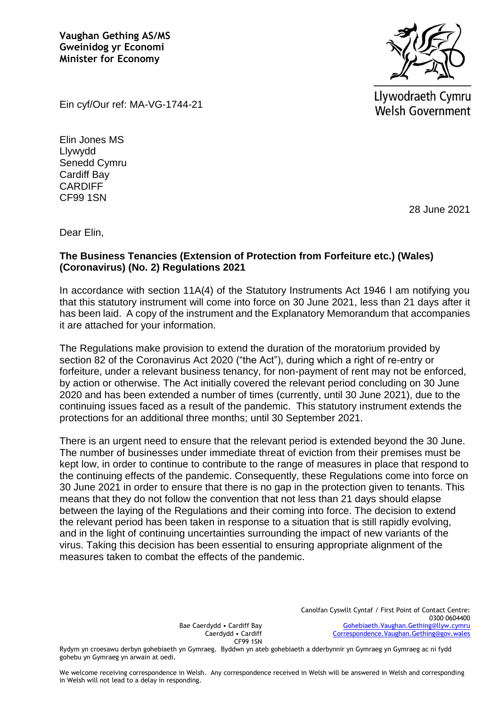**Vaughan Gething AS/MS Gweinidog yr Economi Minister for Economy**



Llywodraeth Cymru **Welsh Government** 

Ein cyf/Our ref: MA-VG-1744-21

Elin Jones MS Llywydd Senedd Cymru Cardiff Bay **CARDIFF** CF99 1SN

28 June 2021

Dear Elin,

## **The Business Tenancies (Extension of Protection from Forfeiture etc.) (Wales) (Coronavirus) (No. 2) Regulations 2021**

In accordance with section 11A(4) of the Statutory Instruments Act 1946 I am notifying you that this statutory instrument will come into force on 30 June 2021, less than 21 days after it has been laid. A copy of the instrument and the Explanatory Memorandum that accompanies it are attached for your information.

The Regulations make provision to extend the duration of the moratorium provided by section 82 of the Coronavirus Act 2020 ("the Act"), during which a right of re-entry or forfeiture, under a relevant business tenancy, for non-payment of rent may not be enforced, by action or otherwise. The Act initially covered the relevant period concluding on 30 June 2020 and has been extended a number of times (currently, until 30 June 2021), due to the continuing issues faced as a result of the pandemic. This statutory instrument extends the protections for an additional three months; until 30 September 2021.

There is an urgent need to ensure that the relevant period is extended beyond the 30 June. The number of businesses under immediate threat of eviction from their premises must be kept low, in order to continue to contribute to the range of measures in place that respond to the continuing effects of the pandemic. Consequently, these Regulations come into force on 30 June 2021 in order to ensure that there is no gap in the protection given to tenants. This means that they do not follow the convention that not less than 21 days should elapse between the laying of the Regulations and their coming into force. The decision to extend the relevant period has been taken in response to a situation that is still rapidly evolving, and in the light of continuing uncertainties surrounding the impact of new variants of the virus. Taking this decision has been essential to ensuring appropriate alignment of the measures taken to combat the effects of the pandemic.

Bae Caerdydd • Cardiff Bay Caerdydd • Cardiff CF99 1SN

Rydym yn croesawu derbyn gohebiaeth yn Gymraeg. Byddwn yn ateb gohebiaeth a dderbynnir yn Gymraeg yn Gymraeg ac ni fydd gohebu yn Gymraeg yn arwain at oedi.